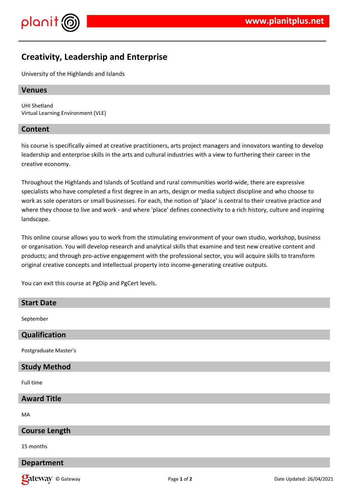

# **Creativity, Leadership and Enterprise**

University of the Highlands and Islands

## **Venues**

UHI Shetland Virtual Learning Environment (VLE)

## **Content**

his course is specifically aimed at creative practitioners, arts project managers and innovators wanting to develop leadership and enterprise skills in the arts and cultural industries with a view to furthering their career in the creative economy.

Throughout the Highlands and Islands of Scotland and rural communities world-wide, there are expressive specialists who have completed a first degree in an arts, design or media subject discipline and who choose to work as sole operators or small businesses. For each, the notion of 'place' is central to their creative practice and where they choose to live and work - and where 'place' defines connectivity to a rich history, culture and inspiring landscape.

This online course allows you to work from the stimulating environment of your own studio, workshop, business or organisation. You will develop research and analytical skills that examine and test new creative content and products; and through pro-active engagement with the professional sector, you will acquire skills to transform original creative concepts and intellectual property into income-generating creative outputs.

You can exit this course at PgDip and PgCert levels.

| <b>Start Date</b>     |
|-----------------------|
| September             |
| Qualification         |
| Postgraduate Master's |
| <b>Study Method</b>   |
| Full time             |
| <b>Award Title</b>    |
| MA                    |
| <b>Course Length</b>  |

15 months

#### **Department**